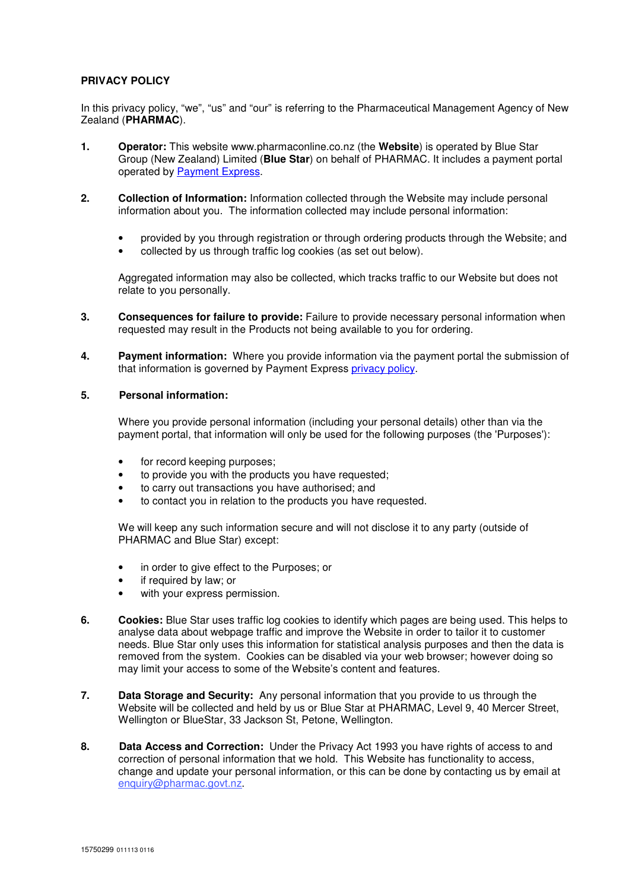## **PRIVACY POLICY**

In this privacy policy, "we", "us" and "our" is referring to the Pharmaceutical Management Agency of New Zealand (**PHARMAC**).

- **1. Operator:** This website www.pharmaconline.co.nz (the **Website**) is operated by Blue Star Group (New Zealand) Limited (**Blue Star**) on behalf of PHARMAC. It includes a payment portal operated by [Payment Express.](https://www.paymentexpress.com/)
- **2. Collection of Information:** Information collected through the Website may include personal information about you. The information collected may include personal information:
	- provided by you through registration or through ordering products through the Website; and
	- collected by us through traffic log cookies (as set out below).

Aggregated information may also be collected, which tracks traffic to our Website but does not relate to you personally.

- **3. Consequences for failure to provide:** Failure to provide necessary personal information when requested may result in the Products not being available to you for ordering.
- **4. Payment information:** Where you provide information via the payment portal the submission of that information is governed by Payment Express [privacy policy.](https://www.paymentexpress.com/about/about_paymentexpress/privacy_policy.html)

## **5. Personal information:**

Where you provide personal information (including your personal details) other than via the payment portal, that information will only be used for the following purposes (the 'Purposes'):

- for record keeping purposes;
- to provide you with the products you have requested;
- to carry out transactions you have authorised; and
- to contact you in relation to the products you have requested.

We will keep any such information secure and will not disclose it to any party (outside of PHARMAC and Blue Star) except:

- in order to give effect to the Purposes; or
- if required by law; or
- with your express permission.
- **6. Cookies:** Blue Star uses traffic log cookies to identify which pages are being used. This helps to analyse data about webpage traffic and improve the Website in order to tailor it to customer needs. Blue Star only uses this information for statistical analysis purposes and then the data is removed from the system. Cookies can be disabled via your web browser; however doing so may limit your access to some of the Website's content and features.
- **7. Data Storage and Security:** Any personal information that you provide to us through the Website will be collected and held by us or Blue Star at PHARMAC, Level 9, 40 Mercer Street, Wellington or BlueStar, 33 Jackson St, Petone, Wellington.
- **8. Data Access and Correction:** Under the Privacy Act 1993 you have rights of access to and correction of personal information that we hold. This Website has functionality to access, change and update your personal information, or this can be done by contacting us by email at [enquiry@pharmac.govt.nz](mailto:enquiry@pharmac.govt.nz).